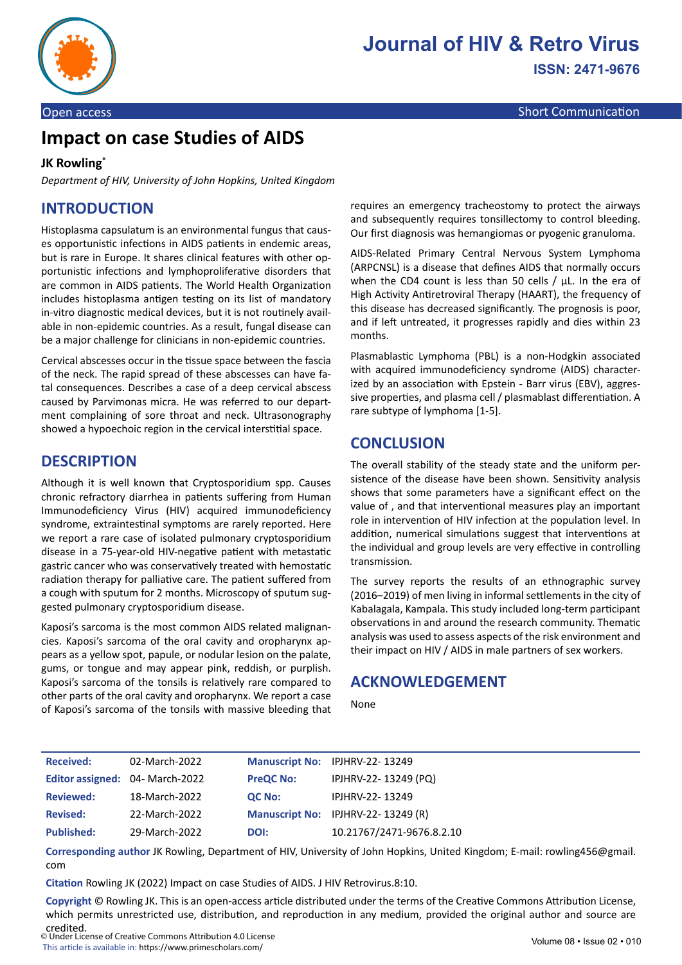

# **Impact on case Studies of AIDS**

#### **JK Rowling\***

*Department of HIV, University of John Hopkins, United Kingdom* 

## **INTRODUCTION**

Histoplasma capsulatum is an environmental fungus that causes opportunistic infections in AIDS patients in endemic areas, but is rare in Europe. It shares clinical features with other opportunistic infections and lymphoproliferative disorders that are common in AIDS patients. The World Health Organization includes histoplasma antigen testing on its list of mandatory in-vitro diagnostic medical devices, but it is not routinely available in non-epidemic countries. As a result, fungal disease can be a major challenge for clinicians in non-epidemic countries.

Cervical abscesses occur in the tissue space between the fascia of the neck. The rapid spread of these abscesses can have fatal consequences. Describes a case of a deep cervical abscess caused by Parvimonas micra. He was referred to our department complaining of sore throat and neck. Ultrasonography showed a hypoechoic region in the cervical interstitial space.

#### **DESCRIPTION**

Although it is well known that Cryptosporidium spp. Causes chronic refractory diarrhea in patients suffering from Human Immunodeficiency Virus (HIV) acquired immunodeficiency syndrome, extraintestinal symptoms are rarely reported. Here we report a rare case of isolated pulmonary cryptosporidium disease in a 75-year-old HIV-negative patient with metastatic gastric cancer who was conservatively treated with hemostatic radiation therapy for palliative care. The patient suffered from a cough with sputum for 2 months. Microscopy of sputum suggested pulmonary cryptosporidium disease.

Kaposi's sarcoma is the most common AIDS related malignancies. Kaposi's sarcoma of the oral cavity and oropharynx appears as a yellow spot, papule, or nodular lesion on the palate, gums, or tongue and may appear pink, reddish, or purplish. Kaposi's sarcoma of the tonsils is relatively rare compared to other parts of the oral cavity and oropharynx. We report a case of Kaposi's sarcoma of the tonsils with massive bleeding that

requires an emergency tracheostomy to protect the airways and subsequently requires tonsillectomy to control bleeding. Our first diagnosis was hemangiomas or pyogenic granuloma.

AIDS-Related Primary Central Nervous System Lymphoma (ARPCNSL) is a disease that defines AIDS that normally occurs when the CD4 count is less than 50 cells / μL. In the era of High Activity Antiretroviral Therapy (HAART), the frequency of this disease has decreased significantly. The prognosis is poor, and if left untreated, it progresses rapidly and dies within 23 months.

Plasmablastic Lymphoma (PBL) is a non-Hodgkin associated with acquired immunodeficiency syndrome (AIDS) characterized by an association with Epstein - Barr virus (EBV), aggressive properties, and plasma cell / plasmablast differentiation. A rare subtype of lymphoma [1-5].

#### **CONCLUSION**

The overall stability of the steady state and the uniform persistence of the disease have been shown. Sensitivity analysis shows that some parameters have a significant effect on the value of , and that interventional measures play an important role in intervention of HIV infection at the population level. In addition, numerical simulations suggest that interventions at the individual and group levels are very effective in controlling transmission.

The survey reports the results of an ethnographic survey (2016–2019) of men living in informal settlements in the city of Kabalagala, Kampala. This study included long-term participant observations in and around the research community. Thematic analysis was used to assess aspects of the risk environment and their impact on HIV / AIDS in male partners of sex workers.

#### **ACKNOWLEDGEMENT**

None

| <b>Received:</b>                       | 02-March-2022 |                  | Manuscript No: IPJHRV-22-13249     |
|----------------------------------------|---------------|------------------|------------------------------------|
| <b>Editor assigned: 04- March-2022</b> |               | <b>PreQC No:</b> | IPJHRV-22-13249 (PQ)               |
| <b>Reviewed:</b>                       | 18-March-2022 | <b>QC No:</b>    | IPJHRV-22-13249                    |
| <b>Revised:</b>                        | 22-March-2022 |                  | Manuscript No: IPJHRV-22-13249 (R) |
| <b>Published:</b>                      | 29-March-2022 | DOI:             | 10.21767/2471-9676.8.2.10          |

**Corresponding author** JK Rowling, Department of HIV, University of John Hopkins, United Kingdom; E-mail: rowling456@gmail. com

**Citation** Rowling JK (2022) Impact on case Studies of AIDS. J HIV Retrovirus.8:10.

**Copyright** © Rowling JK. This is an open-access article distributed under the terms of the Creative Commons Attribution License, which permits unrestricted use, distribution, and reproduction in any medium, provided the original author and source are